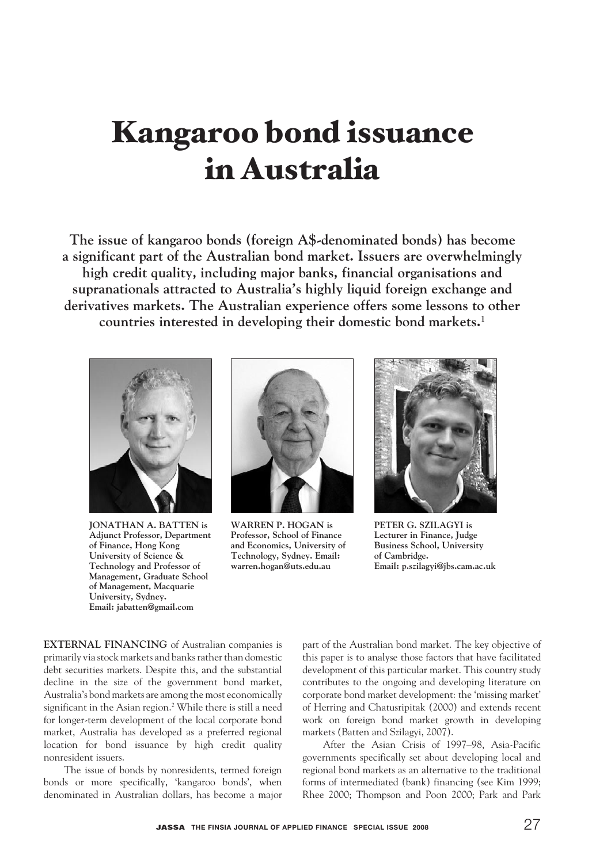# Kangaroo bond issuance in Australia

**The issue of kangaroo bonds (foreign A\$-denominated bonds) has become a significant part of the Australian bond market. Issuers are overwhelmingly high credit quality, including major banks, financial organisations and supranationals attracted to Australia's highly liquid foreign exchange and derivatives markets. The Australian experience offers some lessons to other countries interested in developing their domestic bond markets.1**



**Jonathan A. Batten is Adjunct Professor, Department of Finance, Hong Kong University of Science & Technology and Professor of Management, Graduate School of Management, Macquarie University, Sydney. Email: jabatten@gmail.com**



**Warren P. Hogan is Professor, School of Finance and Economics, University of Technology, Sydney. Email: warren.hogan@uts.edu.au**



**Peter G. Szilagyi is Lecturer in Finance, Judge Business School, University of Cambridge. Email: p.szilagyi@jbs.cam.ac.uk**

**EXTERNAL FINANCING** of Australian companies is primarily via stock markets and banks rather than domestic debt securities markets. Despite this, and the substantial decline in the size of the government bond market, Australia's bond markets are among the most economically significant in the Asian region.<sup>2</sup> While there is still a need for longer-term development of the local corporate bond market, Australia has developed as a preferred regional location for bond issuance by high credit quality nonresident issuers.

The issue of bonds by nonresidents, termed foreign bonds or more specifically, 'kangaroo bonds', when denominated in Australian dollars, has become a major

part of the Australian bond market. The key objective of this paper is to analyse those factors that have facilitated development of this particular market. This country study contributes to the ongoing and developing literature on corporate bond market development: the 'missing market' of Herring and Chatusripitak (2000) and extends recent work on foreign bond market growth in developing markets (Batten and Szilagyi, 2007).

After the Asian Crisis of 1997–98, Asia-Pacific governments specifically set about developing local and regional bond markets as an alternative to the traditional forms of intermediated (bank) financing (see Kim 1999; Rhee 2000; Thompson and Poon 2000; Park and Park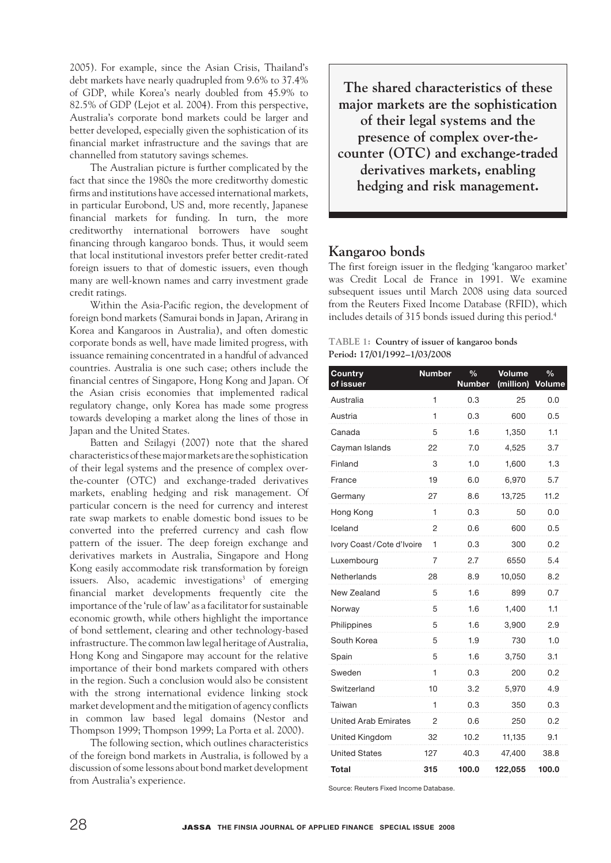2005). For example, since the Asian Crisis, Thailand's debt markets have nearly quadrupled from 9.6% to 37.4% of GDP, while Korea's nearly doubled from 45.9% to 82.5% of GDP (Lejot et al. 2004). From this perspective, Australia's corporate bond markets could be larger and better developed, especially given the sophistication of its financial market infrastructure and the savings that are channelled from statutory savings schemes.

The Australian picture is further complicated by the fact that since the 1980s the more creditworthy domestic firms and institutions have accessed international markets, in particular Eurobond, US and, more recently, Japanese financial markets for funding. In turn, the more creditworthy international borrowers have sought financing through kangaroo bonds. Thus, it would seem that local institutional investors prefer better credit-rated foreign issuers to that of domestic issuers, even though many are well-known names and carry investment grade credit ratings.

Within the Asia-Pacific region, the development of foreign bond markets (Samurai bonds in Japan, Arirang in Korea and Kangaroos in Australia), and often domestic corporate bonds as well, have made limited progress, with issuance remaining concentrated in a handful of advanced countries. Australia is one such case; others include the financial centres of Singapore, Hong Kong and Japan. Of the Asian crisis economies that implemented radical regulatory change, only Korea has made some progress towards developing a market along the lines of those in Japan and the United States.

Batten and Szilagyi (2007) note that the shared characteristics of these major markets are the sophistication of their legal systems and the presence of complex overthe-counter (OTC) and exchange-traded derivatives markets, enabling hedging and risk management. Of particular concern is the need for currency and interest rate swap markets to enable domestic bond issues to be converted into the preferred currency and cash flow pattern of the issuer. The deep foreign exchange and derivatives markets in Australia, Singapore and Hong Kong easily accommodate risk transformation by foreign issuers. Also, academic investigations<sup>3</sup> of emerging financial market developments frequently cite the importance of the 'rule of law' as a facilitator for sustainable economic growth, while others highlight the importance of bond settlement, clearing and other technology-based infrastructure. The common law legal heritage of Australia, Hong Kong and Singapore may account for the relative importance of their bond markets compared with others in the region. Such a conclusion would also be consistent with the strong international evidence linking stock market development and the mitigation of agency conflicts in common law based legal domains (Nestor and Thompson 1999; Thompson 1999; La Porta et al. 2000).

The following section, which outlines characteristics of the foreign bond markets in Australia, is followed by a discussion of some lessons about bond market development from Australia's experience.

**The shared characteristics of these major markets are the sophistication of their legal systems and the presence of complex over-thecounter (OTC) and exchange-traded derivatives markets, enabling hedging and risk management.**

## **Kangaroo bonds**

The first foreign issuer in the fledging 'kangaroo market' was Credit Local de France in 1991. We examine subsequent issues until March 2008 using data sourced from the Reuters Fixed Income Database (RFID), which includes details of 315 bonds issued during this period.4

#### **TABLE 1: Country of issuer of kangaroo bonds Period: 17/01/1992–1/03/2008**

| <b>Country</b><br>of issuer | <b>Number</b> | $\frac{0}{0}$<br><b>Number</b> | <b>Volume</b><br>(million) | $\frac{0}{0}$<br>Volume |
|-----------------------------|---------------|--------------------------------|----------------------------|-------------------------|
| Australia                   | 1             | 0.3                            | 25                         | 0.0                     |
| Austria                     | 1             | 0.3                            | 600                        | 0.5                     |
| Canada                      | 5             | 1.6                            | 1,350                      | 1.1                     |
| Cayman Islands              | 22            | 7.0                            | 4,525                      | 3.7                     |
| Finland                     | 3             | 1.0                            | 1,600                      | 1.3                     |
| France                      | 19            | 6.0                            | 6,970                      | 5.7                     |
| Germany                     | 27            | 8.6                            | 13,725                     | 11.2                    |
| Hong Kong                   | 1             | 0.3                            | 50                         | 0.0                     |
| Iceland                     | 2             | 0.6                            | 600                        | 0.5                     |
| Ivory Coast / Cote d'Ivoire | 1             | 0.3                            | 300                        | 0.2                     |
| Luxembourg                  | 7             | 2.7                            | 6550                       | 5.4                     |
| Netherlands                 | 28            | 8.9                            | 10,050                     | 8.2                     |
| New Zealand                 | 5             | 1.6                            | 899                        | 0.7                     |
| Norway                      | 5             | 1.6                            | 1,400                      | 1.1                     |
| Philippines                 | 5             | 1.6                            | 3,900                      | 2.9                     |
| South Korea                 | 5             | 1.9                            | 730                        | 1.0                     |
| Spain                       | 5             | 1.6                            | 3,750                      | 3.1                     |
| Sweden                      | 1             | 0.3                            | 200                        | 0.2                     |
| Switzerland                 | 10            | 3.2                            | 5,970                      | 4.9                     |
| Taiwan                      | 1             | 0.3                            | 350                        | 0.3                     |
| <b>United Arab Emirates</b> | 2             | 0.6                            | 250                        | 0.2                     |
| United Kingdom              | 32            | 10.2                           | 11,135                     | 9.1                     |
| <b>United States</b>        | 127           | 40.3                           | 47,400                     | 38.8                    |
| Total                       | 315           | 100.0                          | 122,055                    | 100.0                   |

Source: Reuters Fixed Income Database.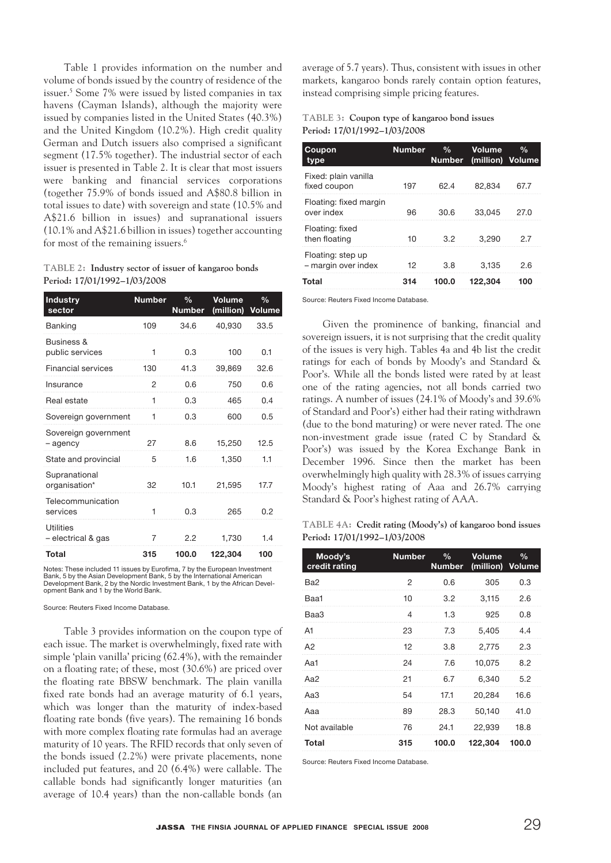Table 1 provides information on the number and volume of bonds issued by the country of residence of the issuer.5 Some 7% were issued by listed companies in tax havens (Cayman Islands), although the majority were issued by companies listed in the United States (40.3%) and the United Kingdom (10.2%). High credit quality German and Dutch issuers also comprised a significant segment (17.5% together). The industrial sector of each issuer is presented in Table 2. It is clear that most issuers were banking and financial services corporations (together 75.9% of bonds issued and A\$80.8 billion in total issues to date) with sovereign and state (10.5% and A\$21.6 billion in issues) and supranational issuers (10.1% and A\$21.6 billion in issues) together accounting for most of the remaining issuers.<sup>6</sup>

**TABLE 2: Industry sector of issuer of kangaroo bonds Period: 17/01/1992–1/03/2008** 

| <b>Industry</b><br>sector        | <b>Number</b>  | $\frac{9}{6}$<br><b>Number</b> | <b>Volume</b><br>(million) | $\frac{0}{n}$<br><b>Volume</b> |
|----------------------------------|----------------|--------------------------------|----------------------------|--------------------------------|
| Banking                          | 109            | 34.6                           | 40.930                     | 33.5                           |
| Business &<br>public services    | 1              | 0.3                            | 100                        | 0.1                            |
| <b>Financial services</b>        | 130            | 41.3                           | 39,869                     | 32.6                           |
| Insurance                        | $\overline{2}$ | 0.6                            | 750                        | 0.6                            |
| Real estate                      | 1              | 0.3                            | 465                        | 0.4                            |
| Sovereign government             | 1              | 0.3                            | 600                        | 0.5                            |
| Sovereign government<br>- agency | 27             | 8.6                            | 15,250                     | 12.5                           |
| State and provincial             | 5              | 1.6                            | 1.350                      | 1.1                            |
| Supranational<br>organisation*   | 32             | 10.1                           | 21,595                     | 17.7                           |
| Telecommunication<br>services    | 1              | 0.3                            | 265                        | 0.2                            |
| Utilities<br>- electrical & gas  | 7              | 2.2                            | 1,730                      | 1.4                            |
| Total                            | 315            | 100.0                          | 122,304                    | 100                            |

Notes: These included 11 issues by Eurofima, 7 by the European Investment Bank, 5 by the Asian Development Bank, 5 by the International American Development Bank, 2 by the Nordic Investment Bank, 1 by the African Development Bank and 1 by the World Bank.

Source: Reuters Fixed Income Database.

Table 3 provides information on the coupon type of each issue. The market is overwhelmingly, fixed rate with simple 'plain vanilla' pricing (62.4%), with the remainder on a floating rate; of these, most (30.6%) are priced over the floating rate BBSW benchmark. The plain vanilla fixed rate bonds had an average maturity of 6.1 years, which was longer than the maturity of index-based floating rate bonds (five years). The remaining 16 bonds with more complex floating rate formulas had an average maturity of 10 years. The RFID records that only seven of the bonds issued (2.2%) were private placements, none included put features, and 20 (6.4%) were callable. The callable bonds had significantly longer maturities (an average of 10.4 years) than the non-callable bonds (an

average of 5.7 years). Thus, consistent with issues in other markets, kangaroo bonds rarely contain option features, instead comprising simple pricing features.

#### **TABLE 3: Coupon type of kangaroo bond issues Period: 17/01/1992–1/03/2008**

| Coupon<br>type                           | <b>Number</b> | $\frac{0}{n}$<br><b>Number</b> | Volume<br>(million) Volume | $\%$ |
|------------------------------------------|---------------|--------------------------------|----------------------------|------|
| Fixed: plain vanilla<br>fixed coupon     | 197           | 62.4                           | 82.834                     | 67.7 |
| Floating: fixed margin<br>over index     | 96            | 30.6                           | 33.045                     | 27.0 |
| Floating: fixed<br>then floating         | 10            | 3.2                            | 3.290                      | 2.7  |
| Floating: step up<br>- margin over index | 12            | 3.8                            | 3.135                      | 2.6  |
| Total                                    | 314           | 100.0                          | 122.304                    | 100  |

Source: Reuters Fixed Income Database.

Given the prominence of banking, financial and sovereign issuers, it is not surprising that the credit quality of the issues is very high. Tables 4a and 4b list the credit ratings for each of bonds by Moody's and Standard & Poor's. While all the bonds listed were rated by at least one of the rating agencies, not all bonds carried two ratings. A number of issues (24.1% of Moody's and 39.6% of Standard and Poor's) either had their rating withdrawn (due to the bond maturing) or were never rated. The one non-investment grade issue (rated C by Standard & Poor's) was issued by the Korea Exchange Bank in December 1996. Since then the market has been overwhelmingly high quality with 28.3% of issues carrying Moody's highest rating of Aaa and 26.7% carrying Standard & Poor's highest rating of AAA.

**TABLE 4a: Credit rating (Moody's) of kangaroo bond issues Period: 17/01/1992–1/03/2008** 

| Moody's<br>credit rating | <b>Number</b>  | $\%$<br><b>Number</b> | Volume<br>(million) Volume | $\%$  |
|--------------------------|----------------|-----------------------|----------------------------|-------|
| Ba <sub>2</sub>          | 2              | 0.6                   | 305                        | 0.3   |
| Baa1                     | 10             | 3.2                   | 3,115                      | 2.6   |
| Baa3                     | $\overline{4}$ | 1.3                   | 925                        | 0.8   |
| A <sub>1</sub>           | 23             | 7.3                   | 5,405                      | 4.4   |
| A2                       | 12             | 3.8                   | 2,775                      | 2.3   |
| Aa1                      | 24             | 7.6                   | 10,075                     | 8.2   |
| Aa2                      | 21             | 6.7                   | 6,340                      | 5.2   |
| АаЗ                      | 54             | 17.1                  | 20,284                     | 16.6  |
| Aaa                      | 89             | 28.3                  | 50,140                     | 41.0  |
| Not available            | 76             | 24.1                  | 22,939                     | 18.8  |
| Total                    | 315            | 100.0                 | 122,304                    | 100.0 |

Source: Reuters Fixed Income Database.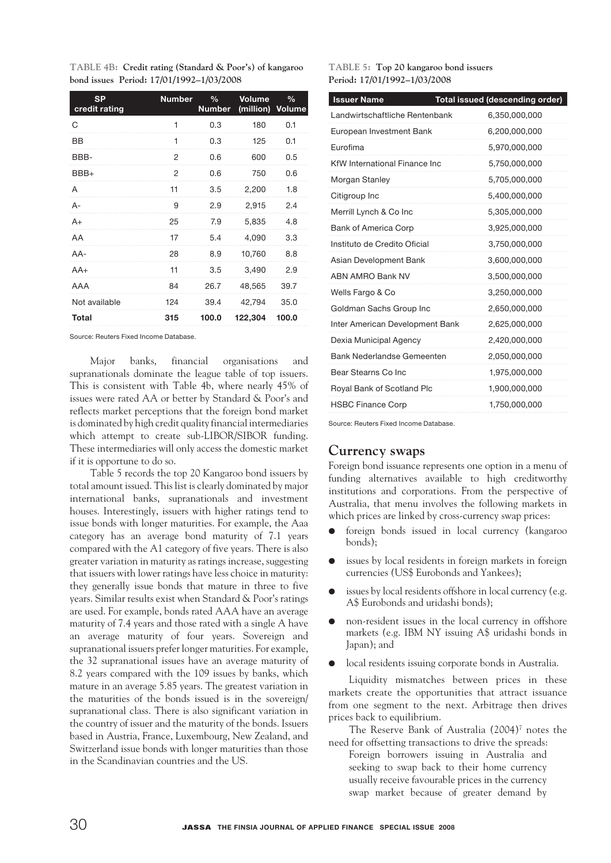|  | TABLE 4B: Credit rating (Standard & Poor's) of kangaroo |  |
|--|---------------------------------------------------------|--|
|  | bond issues Period: 17/01/1992-1/03/2008                |  |

| <b>SP</b><br>credit rating | <b>Number</b> | $\frac{0}{0}$<br><b>Number</b> | Volume<br>(million) Volume | $\%$  |
|----------------------------|---------------|--------------------------------|----------------------------|-------|
| C                          | 1             | 0.3                            | 180                        | 0.1   |
| BB                         | 1             | 0.3                            | 125                        | 0.1   |
| BBB-                       | 2             | 0.6                            | 600                        | 0.5   |
| BBB+                       | 2             | 0.6                            | 750                        | 0.6   |
| A                          | 11            | 3.5                            | 2,200                      | 1.8   |
| $A -$                      | 9             | 2.9                            | 2,915                      | 2.4   |
| $A+$                       | 25            | 7.9                            | 5,835                      | 4.8   |
| AA                         | 17            | 5.4                            | 4,090                      | 3.3   |
| AA-                        | 28            | 8.9                            | 10,760                     | 8.8   |
| $AA+$                      | 11            | 3.5                            | 3,490                      | 2.9   |
| AAA                        | 84            | 26.7                           | 48,565                     | 39.7  |
| Not available              | 124           | 39.4                           | 42,794                     | 35.0  |
| <b>Total</b>               | 315           | 100.0                          | 122,304                    | 100.0 |

Source: Reuters Fixed Income Database.

Major banks, financial organisations and supranationals dominate the league table of top issuers. This is consistent with Table 4b, where nearly 45% of issues were rated AA or better by Standard & Poor's and reflects market perceptions that the foreign bond market is dominated by high credit quality financial intermediaries which attempt to create sub-LIBOR/SIBOR funding. These intermediaries will only access the domestic market if it is opportune to do so.

Table 5 records the top 20 Kangaroo bond issuers by total amount issued. This list is clearly dominated by major international banks, supranationals and investment houses. Interestingly, issuers with higher ratings tend to issue bonds with longer maturities. For example, the Aaa category has an average bond maturity of 7.1 years compared with the A1 category of five years. There is also greater variation in maturity as ratings increase, suggesting that issuers with lower ratings have less choice in maturity: they generally issue bonds that mature in three to five years. Similar results exist when Standard & Poor's ratings are used. For example, bonds rated AAA have an average maturity of 7.4 years and those rated with a single A have an average maturity of four years. Sovereign and supranational issuers prefer longer maturities. For example, the 32 supranational issues have an average maturity of 8.2 years compared with the 109 issues by banks, which mature in an average 5.85 years. The greatest variation in the maturities of the bonds issued is in the sovereign/ supranational class. There is also significant variation in the country of issuer and the maturity of the bonds. Issuers based in Austria, France, Luxembourg, New Zealand, and Switzerland issue bonds with longer maturities than those in the Scandinavian countries and the US.

**TABLE 5: Top 20 kangaroo bond issuers Period: 17/01/1992–1/03/2008** 

| <b>Issuer Name</b>              | Total issued (descending order) |
|---------------------------------|---------------------------------|
| Landwirtschaftliche Rentenbank  | 6,350,000,000                   |
| European Investment Bank        | 6,200,000,000                   |
| Eurofima                        | 5,970,000,000                   |
| KfW International Finance Inc   | 5,750,000,000                   |
| Morgan Stanley                  | 5,705,000,000                   |
| Citigroup Inc                   | 5,400,000,000                   |
| Merrill Lynch & Co Inc          | 5,305,000,000                   |
| <b>Bank of America Corp</b>     | 3,925,000,000                   |
| Instituto de Credito Oficial    | 3,750,000,000                   |
| Asian Development Bank          | 3,600,000,000                   |
| <b>ABN AMRO Bank NV</b>         | 3,500,000,000                   |
| Wells Fargo & Co                | 3,250,000,000                   |
| Goldman Sachs Group Inc         | 2,650,000,000                   |
| Inter American Development Bank | 2,625,000,000                   |
| Dexia Municipal Agency          | 2,420,000,000                   |
| Bank Nederlandse Gemeenten      | 2,050,000,000                   |
| Bear Stearns Co Inc             | 1,975,000,000                   |
| Royal Bank of Scotland Plc      | 1,900,000,000                   |
| <b>HSBC Finance Corp</b>        | 1,750,000,000                   |

Source: Reuters Fixed Income Database.

#### **Currency swaps**

Foreign bond issuance represents one option in a menu of funding alternatives available to high creditworthy institutions and corporations. From the perspective of Australia, that menu involves the following markets in which prices are linked by cross-currency swap prices:

- foreign bonds issued in local currency (kangaroo bonds);
- issues by local residents in foreign markets in foreign currencies (US\$ Eurobonds and Yankees);
- issues by local residents offshore in local currency (e.g. A\$ Eurobonds and uridashi bonds);
- non-resident issues in the local currency in offshore markets (e.g. IBM NY issuing A\$ uridashi bonds in Japan); and
- $\bullet$  local residents issuing corporate bonds in Australia.

Liquidity mismatches between prices in these markets create the opportunities that attract issuance from one segment to the next. Arbitrage then drives prices back to equilibrium.

The Reserve Bank of Australia (2004)<sup>7</sup> notes the need for offsetting transactions to drive the spreads:

Foreign borrowers issuing in Australia and seeking to swap back to their home currency usually receive favourable prices in the currency swap market because of greater demand by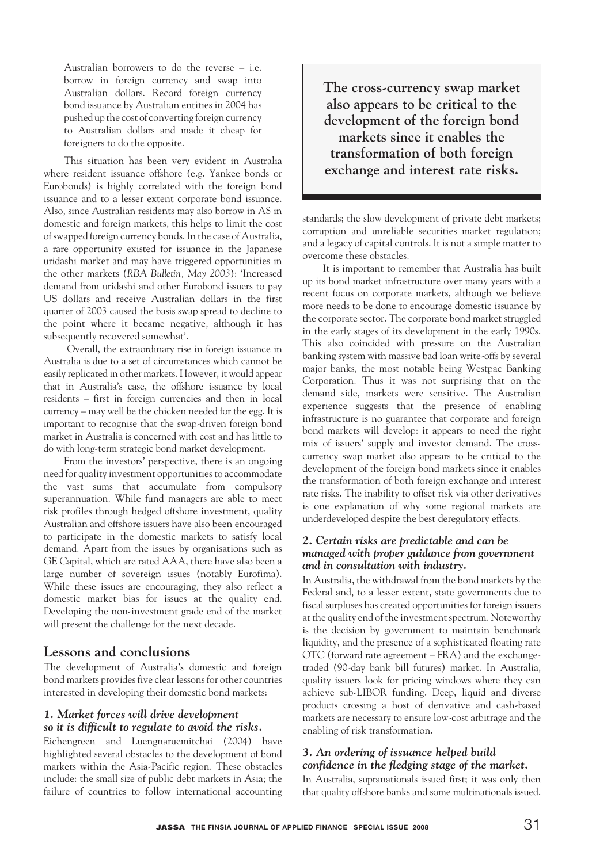Australian borrowers to do the reverse – i.e. borrow in foreign currency and swap into Australian dollars. Record foreign currency bond issuance by Australian entities in 2004 has pushed up the cost of converting foreign currency to Australian dollars and made it cheap for foreigners to do the opposite.

This situation has been very evident in Australia where resident issuance offshore (e.g. Yankee bonds or Eurobonds) is highly correlated with the foreign bond issuance and to a lesser extent corporate bond issuance. Also, since Australian residents may also borrow in A\$ in domestic and foreign markets, this helps to limit the cost of swapped foreign currency bonds. In the case of Australia, a rare opportunity existed for issuance in the Japanese uridashi market and may have triggered opportunities in the other markets (*RBA Bulletin, May 2003*): 'Increased demand from uridashi and other Eurobond issuers to pay US dollars and receive Australian dollars in the first quarter of 2003 caused the basis swap spread to decline to the point where it became negative, although it has subsequently recovered somewhat'.

 Overall, the extraordinary rise in foreign issuance in Australia is due to a set of circumstances which cannot be easily replicated in other markets. However, it would appear that in Australia's case, the offshore issuance by local residents – first in foreign currencies and then in local currency – may well be the chicken needed for the egg. It is important to recognise that the swap-driven foreign bond market in Australia is concerned with cost and has little to do with long-term strategic bond market development.

From the investors' perspective, there is an ongoing need for quality investment opportunities to accommodate the vast sums that accumulate from compulsory superannuation. While fund managers are able to meet risk profiles through hedged offshore investment, quality Australian and offshore issuers have also been encouraged to participate in the domestic markets to satisfy local demand. Apart from the issues by organisations such as GE Capital, which are rated AAA, there have also been a large number of sovereign issues (notably Eurofima). While these issues are encouraging, they also reflect a domestic market bias for issues at the quality end. Developing the non-investment grade end of the market will present the challenge for the next decade.

## **Lessons and conclusions**

The development of Australia's domestic and foreign bond markets provides five clear lessons for other countries interested in developing their domestic bond markets:

### *1. Market forces will drive development so it is difficult to regulate to avoid the risks.*

Eichengreen and Luengnaruemitchai (2004) have highlighted several obstacles to the development of bond markets within the Asia-Pacific region. These obstacles include: the small size of public debt markets in Asia; the failure of countries to follow international accounting **The cross-currency swap market also appears to be critical to the development of the foreign bond markets since it enables the transformation of both foreign exchange and interest rate risks.**

standards; the slow development of private debt markets; corruption and unreliable securities market regulation; and a legacy of capital controls. It is not a simple matter to overcome these obstacles.

It is important to remember that Australia has built up its bond market infrastructure over many years with a recent focus on corporate markets, although we believe more needs to be done to encourage domestic issuance by the corporate sector. The corporate bond market struggled in the early stages of its development in the early 1990s. This also coincided with pressure on the Australian banking system with massive bad loan write-offs by several major banks, the most notable being Westpac Banking Corporation. Thus it was not surprising that on the demand side, markets were sensitive. The Australian experience suggests that the presence of enabling infrastructure is no guarantee that corporate and foreign bond markets will develop: it appears to need the right mix of issuers' supply and investor demand. The crosscurrency swap market also appears to be critical to the development of the foreign bond markets since it enables the transformation of both foreign exchange and interest rate risks. The inability to offset risk via other derivatives is one explanation of why some regional markets are underdeveloped despite the best deregulatory effects.

#### *2. Certain risks are predictable and can be managed with proper guidance from government and in consultation with industry.*

In Australia, the withdrawal from the bond markets by the Federal and, to a lesser extent, state governments due to fiscal surpluses has created opportunities for foreign issuers at the quality end of the investment spectrum. Noteworthy is the decision by government to maintain benchmark liquidity, and the presence of a sophisticated floating rate OTC (forward rate agreement – FRA) and the exchangetraded (90-day bank bill futures) market. In Australia, quality issuers look for pricing windows where they can achieve sub-LIBOR funding. Deep, liquid and diverse products crossing a host of derivative and cash-based markets are necessary to ensure low-cost arbitrage and the enabling of risk transformation.

### *3. An ordering of issuance helped build confidence in the fledging stage of the market.*

In Australia, supranationals issued first; it was only then that quality offshore banks and some multinationals issued.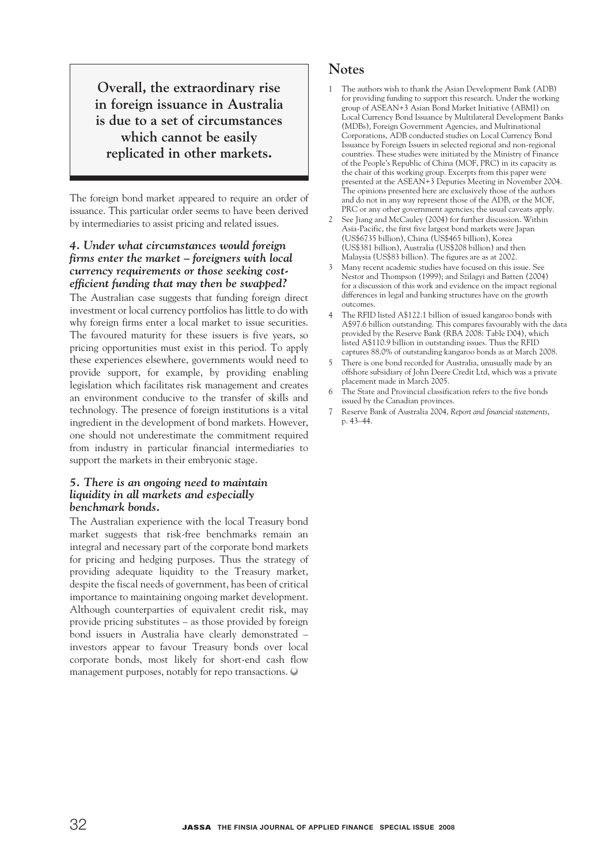**Overall, the extraordinary rise in foreign issuance in Australia is due to a set of circumstances which cannot be easily replicated in other markets.** 

The foreign bond market appeared to require an order of issuance. This particular order seems to have been derived by intermediaries to assist pricing and related issues.

### *4. Under what circumstances would foreign firms enter the market – foreigners with local currency requirements or those seeking costefficient funding that may then be swapped?*

The Australian case suggests that funding foreign direct investment or local currency portfolios has little to do with why foreign firms enter a local market to issue securities. The favoured maturity for these issuers is five years, so pricing opportunities must exist in this period. To apply these experiences elsewhere, governments would need to provide support, for example, by providing enabling legislation which facilitates risk management and creates an environment conducive to the transfer of skills and technology. The presence of foreign institutions is a vital ingredient in the development of bond markets. However, one should not underestimate the commitment required from industry in particular financial intermediaries to support the markets in their embryonic stage.

#### *5. There is an ongoing need to maintain liquidity in all markets and especially benchmark bonds.*

The Australian experience with the local Treasury bond market suggests that risk-free benchmarks remain an integral and necessary part of the corporate bond markets for pricing and hedging purposes. Thus the strategy of providing adequate liquidity to the Treasury market, despite the fiscal needs of government, has been of critical importance to maintaining ongoing market development. Although counterparties of equivalent credit risk, may provide pricing substitutes – as those provided by foreign bond issuers in Australia have clearly demonstrated – investors appear to favour Treasury bonds over local corporate bonds, most likely for short-end cash flow management purposes, notably for repo transactions.

## **Notes**

- 1 The authors wish to thank the Asian Development Bank (ADB) for providing funding to support this research. Under the working group of ASEAN+3 Asian Bond Market Initiative (ABMI) on Local Currency Bond Issuance by Multilateral Development Banks (MDBs), Foreign Government Agencies, and Multinational Corporations, ADB conducted studies on Local Currency Bond Issuance by Foreign Issuers in selected regional and non-regional countries. These studies were initiated by the Ministry of Finance of the People's Republic of China (MOF, PRC) in its capacity as the chair of this working group. Excerpts from this paper were presented at the ASEAN+3 Deputies Meeting in November 2004. The opinions presented here are exclusively those of the authors and do not in any way represent those of the ADB, or the MOF, PRC or any other government agencies; the usual caveats apply.
- 2 See Jiang and McCauley (2004) for further discussion. Within Asia-Pacific, the first five largest bond markets were Japan (US\$6735 billion), China (US\$465 billion), Korea (US\$381 billion), Australia (US\$208 billion) and then Malaysia (US\$83 billion). The figures are as at 2002.
- 3 Many recent academic studies have focused on this issue. See Nestor and Thompson (1999); and Szilagyi and Batten (2004) for a discussion of this work and evidence on the impact regional differences in legal and banking structures have on the growth outcomes.
- 4 The RFID listed A\$122.1 billion of issued kangaroo bonds with A\$97.6 billion outstanding. This compares favourably with the data provided by the Reserve Bank (RBA 2008: Table D04), which listed A\$110.9 billion in outstanding issues. Thus the RFID captures 88.0% of outstanding kangaroo bonds as at March 2008.
- There is one bond recorded for Australia, unusually made by an offshore subsidiary of John Deere Credit Ltd, which was a private placement made in March 2005.
- The State and Provincial classification refers to the five bonds issued by the Canadian provinces.
- 7 Reserve Bank of Australia 2004, *Report and financial statements*, p. 43–44.